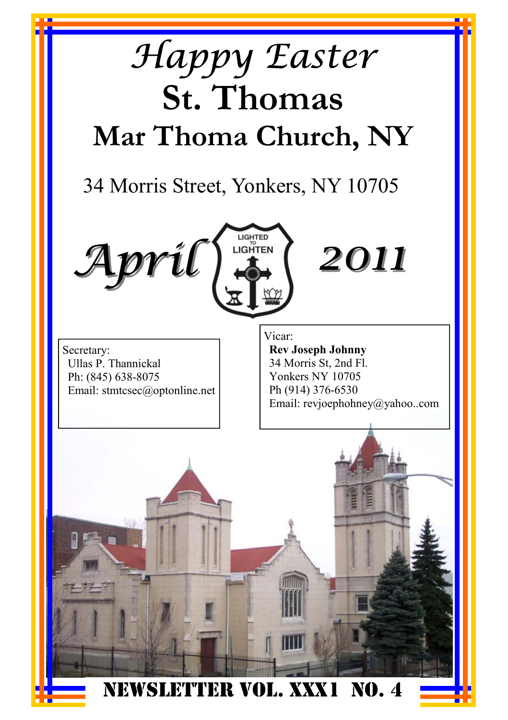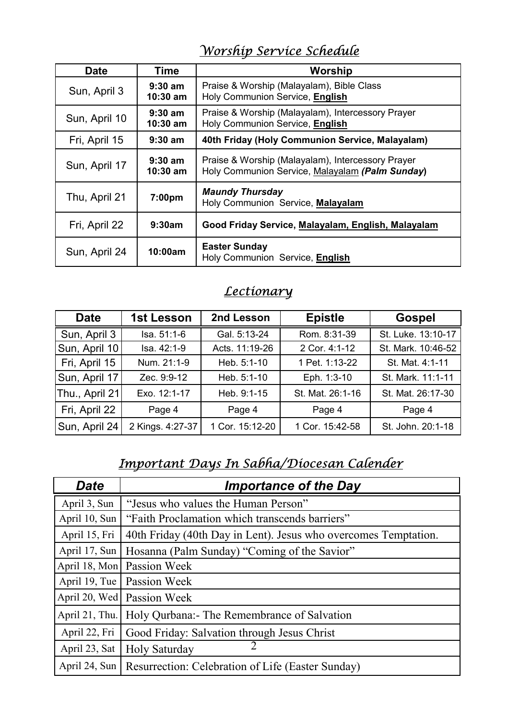#### *Worship Service Schedule*

| <b>Date</b>   | Time                    | Worship                                                                                              |
|---------------|-------------------------|------------------------------------------------------------------------------------------------------|
| Sun, April 3  | $9:30$ am<br>$10:30$ am | Praise & Worship (Malayalam), Bible Class<br>Holy Communion Service, English                         |
| Sun, April 10 | $9:30$ am<br>$10:30$ am | Praise & Worship (Malayalam), Intercessory Prayer<br>Holy Communion Service, English                 |
| Fri, April 15 | $9:30$ am               | 40th Friday (Holy Communion Service, Malayalam)                                                      |
| Sun, April 17 | $9:30$ am<br>$10:30$ am | Praise & Worship (Malayalam), Intercessory Prayer<br>Holy Communion Service, Malayalam (Palm Sunday) |
| Thu, April 21 | 7:00 <sub>pm</sub>      | <b>Maundy Thursday</b><br>Holy Communion Service, Malayalam                                          |
| Fri, April 22 | 9:30am                  | Good Friday Service, Malayalam, English, Malayalam                                                   |
| Sun, April 24 | 10:00am                 | <b>Easter Sunday</b><br>Holy Communion Service, English                                              |

#### *Lectionary*

| <b>Date</b>    | 1st Lesson       | 2nd Lesson      | <b>Epistle</b>   | Gospel             |
|----------------|------------------|-----------------|------------------|--------------------|
| Sun, April 3   | Isa. 51:1-6      | Gal. 5:13-24    | Rom. 8:31-39     | St. Luke. 13:10-17 |
| Sun, April 10  | Isa. 42:1-9      | Acts. 11:19-26  | 2 Cor. 4:1-12    | St. Mark. 10:46-52 |
| Fri, April 15  | Num. 21:1-9      | Heb. 5:1-10     | 1 Pet. 1:13-22   | St. Mat. 4:1-11    |
| Sun, April 17  | Zec. 9:9-12      | Heb. 5:1-10     | Eph. 1:3-10      | St. Mark. 11:1-11  |
| Thu., April 21 | Exo. 12:1-17     | Heb. 9:1-15     | St. Mat. 26:1-16 | St. Mat. 26:17-30  |
| Fri, April 22  | Page 4           | Page 4          | Page 4           | Page 4             |
| Sun, April 24  | 2 Kings. 4:27-37 | 1 Cor. 15:12-20 | 1 Cor. 15:42-58  | St. John. 20:1-18  |

#### *Important Days In Sabha/Diocesan Calender*

| <b>Date</b>    | <b>Importance of the Day</b>                                    |
|----------------|-----------------------------------------------------------------|
| April 3, Sun   | "Jesus who values the Human Person"                             |
| April 10, Sun  | "Faith Proclamation which transcends barriers"                  |
| April 15, Fri  | 40th Friday (40th Day in Lent). Jesus who overcomes Temptation. |
| April 17, Sun  | Hosanna (Palm Sunday) "Coming of the Savior"                    |
| April 18, Mon  | Passion Week                                                    |
| April 19, Tue  | Passion Week                                                    |
| April 20, Wed  | Passion Week                                                    |
| April 21, Thu. | Holy Qurbana: The Remembrance of Salvation                      |
| April 22, Fri  | Good Friday: Salvation through Jesus Christ                     |
| April 23, Sat  | Holy Saturday                                                   |
| April 24, Sun  | Resurrection: Celebration of Life (Easter Sunday)               |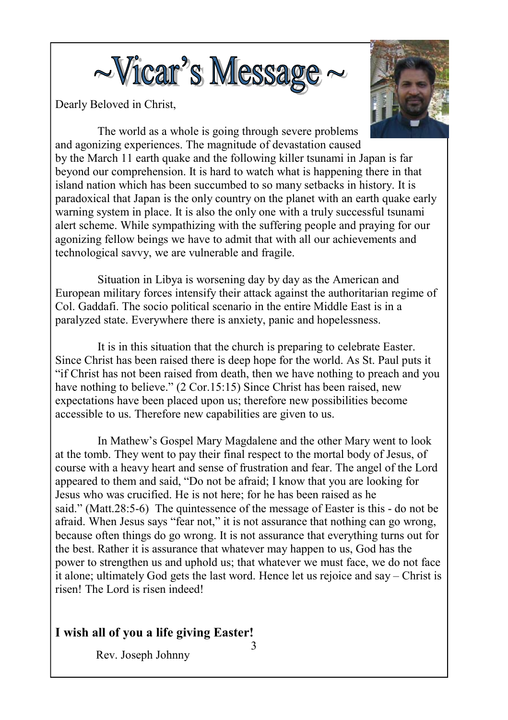

Dearly Beloved in Christ,



 The world as a whole is going through severe problems and agonizing experiences. The magnitude of devastation caused by the March 11 earth quake and the following killer tsunami in Japan is far beyond our comprehension. It is hard to watch what is happening there in that island nation which has been succumbed to so many setbacks in history. It is paradoxical that Japan is the only country on the planet with an earth quake early warning system in place. It is also the only one with a truly successful tsunami alert scheme. While sympathizing with the suffering people and praying for our agonizing fellow beings we have to admit that with all our achievements and technological savvy, we are vulnerable and fragile.

 Situation in Libya is worsening day by day as the American and European military forces intensify their attack against the authoritarian regime of Col. Gaddafi. The socio political scenario in the entire Middle East is in a paralyzed state. Everywhere there is anxiety, panic and hopelessness.

 It is in this situation that the church is preparing to celebrate Easter. Since Christ has been raised there is deep hope for the world. As St. Paul puts it "if Christ has not been raised from death, then we have nothing to preach and you have nothing to believe." (2 Cor.15:15) Since Christ has been raised, new expectations have been placed upon us; therefore new possibilities become accessible to us. Therefore new capabilities are given to us.

 In Mathew's Gospel Mary Magdalene and the other Mary went to look at the tomb. They went to pay their final respect to the mortal body of Jesus, of course with a heavy heart and sense of frustration and fear. The angel of the Lord appeared to them and said, "Do not be afraid; I know that you are looking for Jesus who was crucified. He is not here; for he has been raised as he said." (Matt.28:5-6) The quintessence of the message of Easter is this - do not be afraid. When Jesus says "fear not," it is not assurance that nothing can go wrong, because often things do go wrong. It is not assurance that everything turns out for the best. Rather it is assurance that whatever may happen to us, God has the power to strengthen us and uphold us; that whatever we must face, we do not face it alone; ultimately God gets the last word. Hence let us rejoice and say – Christ is risen! The Lord is risen indeed!

#### **I wish all of you a life giving Easter!**

Rev. Joseph Johnny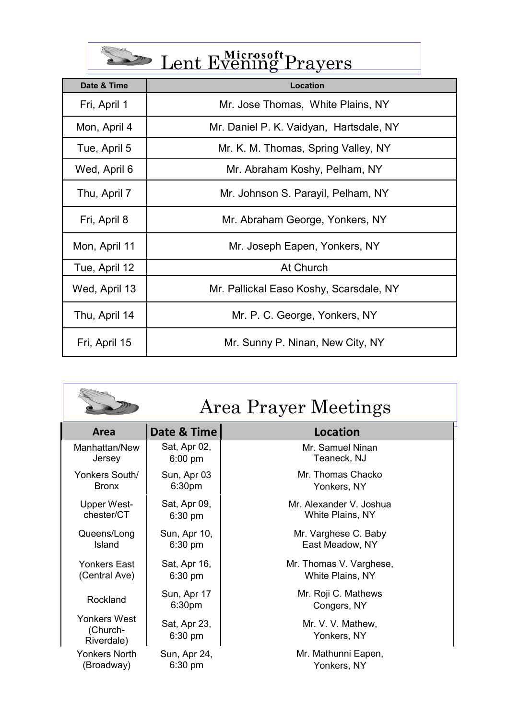| Lent Evening Prayers |  |
|----------------------|--|
|                      |  |

| Date & Time   | Location                                |  |  |
|---------------|-----------------------------------------|--|--|
| Fri, April 1  | Mr. Jose Thomas, White Plains, NY       |  |  |
| Mon, April 4  | Mr. Daniel P. K. Vaidyan, Hartsdale, NY |  |  |
| Tue, April 5  | Mr. K. M. Thomas, Spring Valley, NY     |  |  |
| Wed, April 6  | Mr. Abraham Koshy, Pelham, NY           |  |  |
| Thu, April 7  | Mr. Johnson S. Parayil, Pelham, NY      |  |  |
| Fri, April 8  | Mr. Abraham George, Yonkers, NY         |  |  |
| Mon, April 11 | Mr. Joseph Eapen, Yonkers, NY           |  |  |
| Tue, April 12 | At Church                               |  |  |
| Wed, April 13 | Mr. Pallickal Easo Koshy, Scarsdale, NY |  |  |
| Thu, April 14 | Mr. P. C. George, Yonkers, NY           |  |  |
| Fri, April 15 | Mr. Sunny P. Ninan, New City, NY        |  |  |

|                                        | Area Prayer Meetings              |                                    |  |
|----------------------------------------|-----------------------------------|------------------------------------|--|
| Area                                   | Date & Time                       | Location                           |  |
| Manhattan/New                          | Sat, Apr 02,                      | Mr. Samuel Ninan                   |  |
| Jersey                                 | $6:00 \text{ pm}$                 | Teaneck, NJ                        |  |
| Yonkers South/                         | Sun, Apr 03                       | Mr. Thomas Chacko                  |  |
| <b>Bronx</b>                           | 6:30 <sub>pm</sub>                | Yonkers, NY                        |  |
| Upper West-                            | Sat, Apr 09,                      | Mr. Alexander V. Joshua            |  |
| chester/CT                             | $6:30 \text{ pm}$                 | White Plains, NY                   |  |
| Queens/Long                            | Sun, Apr 10,                      | Mr. Varghese C. Baby               |  |
| Island                                 | $6:30 \text{ pm}$                 | East Meadow, NY                    |  |
| Yonkers Fast                           | Sat, Apr 16,                      | Mr. Thomas V. Varghese,            |  |
| (Central Ave)                          | $6:30 \text{ pm}$                 | White Plains, NY                   |  |
| Rockland                               | Sun, Apr 17<br>6:30 <sub>pm</sub> | Mr. Roji C. Mathews<br>Congers, NY |  |
| Yonkers West<br>(Church-<br>Riverdale) | Sat, Apr 23,<br>$6:30$ pm         | Mr. V. V. Mathew.<br>Yonkers, NY   |  |
| Yonkers North                          | Sun, Apr 24,                      | Mr. Mathunni Eapen,                |  |
| (Broadway)                             | $6:30 \text{ pm}$                 | Yonkers, NY                        |  |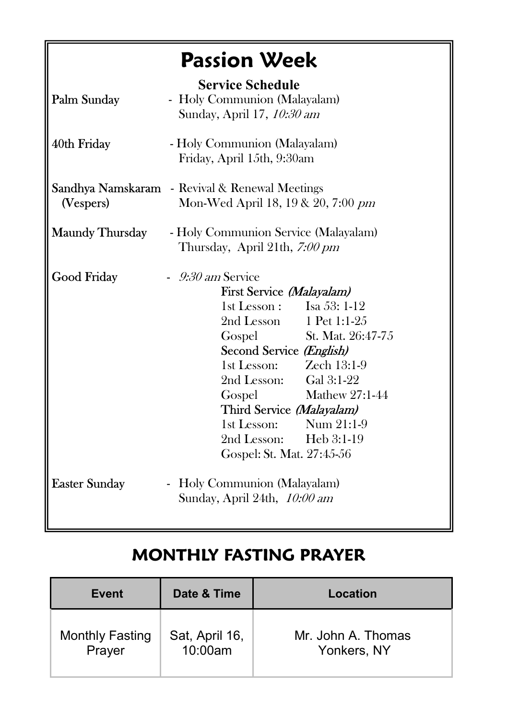# **Passion Week**

| Palm Sunday            | <b>Service Schedule</b><br>- Holy Communion (Malayalam)<br>Sunday, April 17, 10:30 am |                                                              |                          |
|------------------------|---------------------------------------------------------------------------------------|--------------------------------------------------------------|--------------------------|
| 40th Friday            | - Holy Communion (Malayalam)<br>Friday, April 15th, 9:30am                            |                                                              |                          |
| (Vespers)              | Sandhya Namskaram - Revival & Renewal Meetings<br>Mon-Wed April 18, 19 & 20, 7:00 pm  |                                                              |                          |
| <b>Maundy Thursday</b> | - Holy Communion Service (Malayalam)<br>Thursday, April 21th, 7:00 pm                 |                                                              |                          |
| Good Friday            | $-9.30$ am Service                                                                    |                                                              |                          |
|                        |                                                                                       | First Service (Malayalam)                                    |                          |
|                        |                                                                                       | 1st Lesson: Isa 53: $1-12$                                   |                          |
|                        |                                                                                       | 2nd Lesson 1 Pet 1:1-25                                      |                          |
|                        |                                                                                       |                                                              | Gospel St. Mat. 26:47-75 |
|                        |                                                                                       | Second Service (English)                                     |                          |
|                        |                                                                                       | $1st$ Lesson: $Zech$ 13:1-9                                  |                          |
|                        |                                                                                       | 2nd Lesson: Gal 3:1-22                                       |                          |
|                        |                                                                                       | Gospel                                                       | Mathew 27:1-44           |
|                        |                                                                                       | Third Service (Malayalam)                                    |                          |
|                        |                                                                                       | 1st Lesson: Num $21:1-9$                                     |                          |
|                        |                                                                                       | 2nd Lesson: Heb 3:1-19                                       |                          |
|                        |                                                                                       | Gospel: St. Mat. 27:45-56                                    |                          |
| <b>Easter Sunday</b>   |                                                                                       | - Holy Communion (Malayalam)<br>Sunday, April 24th, 10:00 am |                          |

#### **MONTHLY FASTING PRAYER**

| Event                  | Date & Time    | Location           |
|------------------------|----------------|--------------------|
| <b>Monthly Fasting</b> | Sat, April 16, | Mr. John A. Thomas |
| Prayer                 | 10:00am        | Yonkers, NY        |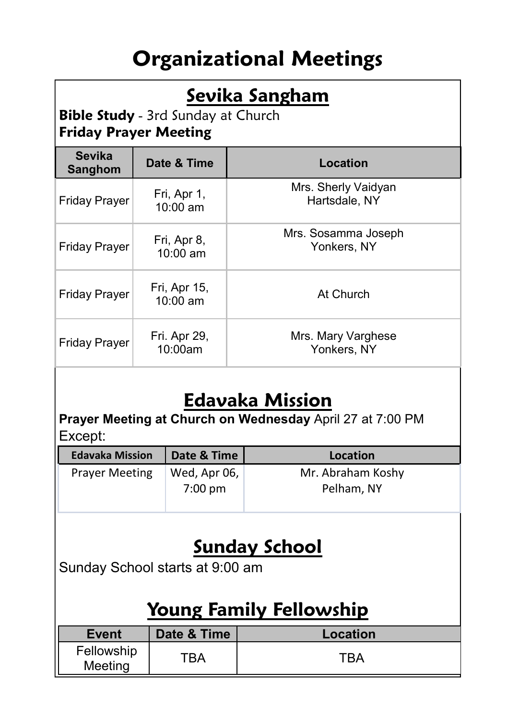# **Organizational Meetings**

## **Sevika Sangham**

**Bible Study** - 3rd Sunday at Church **Friday Prayer Meeting** 

| <b>Sevika</b><br>Sanghom | Date & Time                | Location                             |
|--------------------------|----------------------------|--------------------------------------|
| <b>Friday Prayer</b>     | Fri, Apr 1,<br>10:00 am    | Mrs. Sherly Vaidyan<br>Hartsdale, NY |
| <b>Friday Prayer</b>     | Fri, Apr 8,<br>$10:00$ am  | Mrs. Sosamma Joseph<br>Yonkers, NY   |
| <b>Friday Prayer</b>     | Fri, Apr 15,<br>$10:00$ am | At Church                            |
| <b>Friday Prayer</b>     | Fri. Apr 29,<br>10:00am    | Mrs. Mary Varghese<br>Yonkers, NY    |

## **Edavaka Mission**

**Prayer Meeting at Church on Wednesday** April 27 at 7:00 PM Except:

| <b>Edavaka Mission</b> | Date & Time             | Location                        |
|------------------------|-------------------------|---------------------------------|
| <b>Prayer Meeting</b>  | Wed, Apr 06,<br>7:00 pm | Mr. Abraham Koshy<br>Pelham, NY |

# **Sunday School**

Sunday School starts at 9:00 am

#### **Young Family Fellowship**

| Event                 | Date & Time | Location |
|-----------------------|-------------|----------|
| Fellowship<br>Meeting | "BA         | TRA      |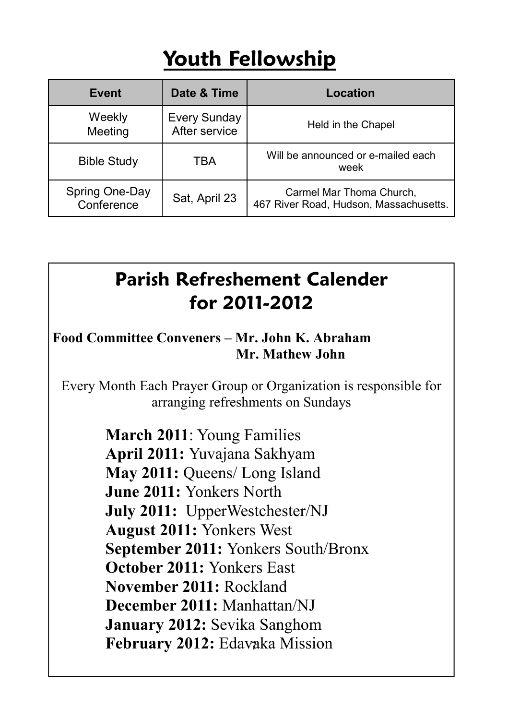# **Youth Fellowship**

| Event                                         | Date & Time                          | Location                                                           |
|-----------------------------------------------|--------------------------------------|--------------------------------------------------------------------|
| Weekly<br>Meeting                             | <b>Every Sunday</b><br>After service | Held in the Chapel                                                 |
| <b>Bible Study</b>                            | TBA                                  | Will be announced or e-mailed each<br>week                         |
| Spring One-Day<br>Sat, April 23<br>Conference |                                      | Carmel Mar Thoma Church,<br>467 River Road, Hudson, Massachusetts. |

# **Parish Refreshement Calender for 2011-2012**

#### **Food Committee Conveners – Mr. John K. Abraham Mr. Mathew John**

Every Month Each Prayer Group or Organization is responsible for arranging refreshments on Sundays

> February 2012: Edavaka Mission **March 2011**: Young Families **April 2011:** Yuvajana Sakhyam **May 2011:** Queens/ Long Island **June 2011:** Yonkers North **July 2011:** UpperWestchester/NJ **August 2011:** Yonkers West **September 2011:** Yonkers South/Bronx **October 2011:** Yonkers East **November 2011:** Rockland **December 2011:** Manhattan/NJ **January 2012:** Sevika Sanghom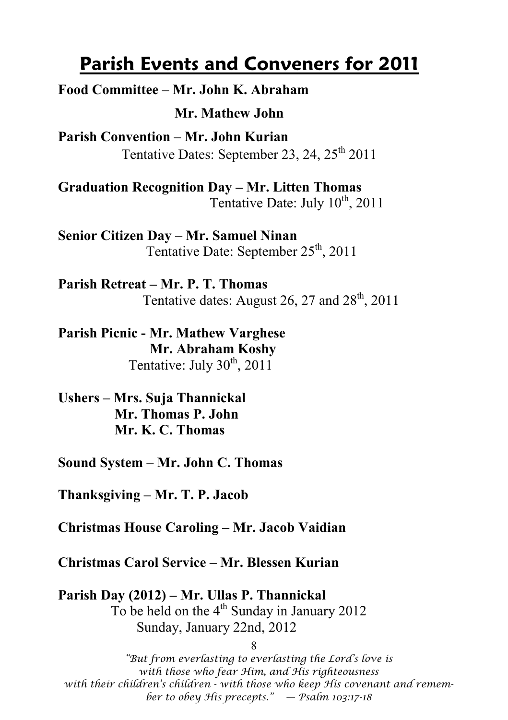#### **Parish Events and Conveners for 2011**

**Food Committee – Mr. John K. Abraham** 

 **Mr. Mathew John** 

**Parish Convention – Mr. John Kurian**  Tentative Dates: September 23, 24, 25<sup>th</sup> 2011

**Graduation Recognition Day – Mr. Litten Thomas**  Tentative Date: July  $10^{th}$ , 2011

**Senior Citizen Day – Mr. Samuel Ninan**  Tentative Date: September  $25<sup>th</sup>$ , 2011

**Parish Retreat – Mr. P. T. Thomas**  Tentative dates: August 26, 27 and  $28<sup>th</sup>$ , 2011

**Parish Picnic - Mr. Mathew Varghese Mr. Abraham Koshy**  Tentative: July  $30<sup>th</sup>$ , 2011

**Ushers – Mrs. Suja Thannickal Mr. Thomas P. John Mr. K. C. Thomas** 

**Sound System – Mr. John C. Thomas** 

**Thanksgiving – Mr. T. P. Jacob** 

**Christmas House Caroling – Mr. Jacob Vaidian** 

**Christmas Carol Service – Mr. Blessen Kurian** 

**Parish Day (2012) – Mr. Ullas P. Thannickal**  To be held on the  $4<sup>th</sup>$  Sunday in January 2012 Sunday, January 22nd, 2012

8 *"But from everlasting to everlasting the Lord's love is with those who fear Him, and His righteousness with their children's children - with those who keep His covenant and remember to obey His precepts." — Psalm 103:17-18*